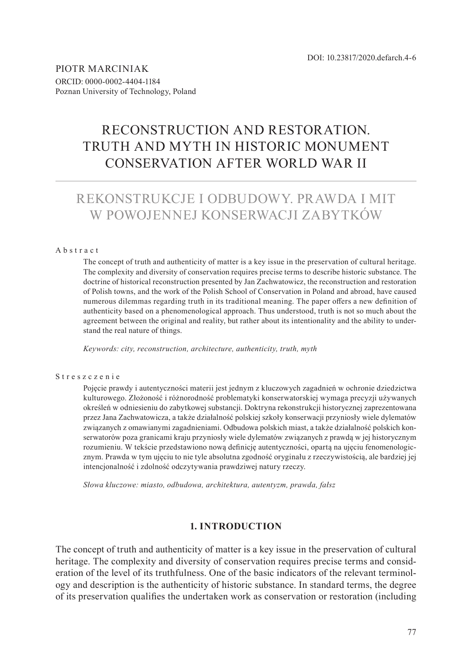PIOTR MARCINIAK ORCID: 0000-0002-4404-1184 Poznan University of Technology, Poland

# RECONSTRUCTION AND RESTORATION. TRUTH AND MYTH IN HISTORIC MONUMENT CONSERVATION AFTER WORLD WAR II

# REKONSTRUKCJE I ODBUDOWY. PRAWDA I MIT W POWOJENNEJ KONSERWACJI ZABYTKÓW

#### Abstract

The concept of truth and authenticity of matter is a key issue in the preservation of cultural heritage. The complexity and diversity of conservation requires precise terms to describe historic substance. The doctrine of historical reconstruction presented by Jan Zachwatowicz, the reconstruction and restoration of Polish towns, and the work of the Polish School of Conservation in Poland and abroad, have caused numerous dilemmas regarding truth in its traditional meaning. The paper offers a new definition of authenticity based on a phenomenological approach. Thus understood, truth is not so much about the agreement between the original and reality, but rather about its intentionality and the ability to understand the real nature of things.

*Keywords: city, reconstruction, architecture, authenticity, truth, myth*

#### Streszczenie

Pojęcie prawdy i autentyczności materii jest jednym z kluczowych zagadnień w ochronie dziedzictwa kulturowego. Złożoność i różnorodność problematyki konserwatorskiej wymaga precyzji używanych określeń w odniesieniu do zabytkowej substancji. Doktryna rekonstrukcji historycznej zaprezentowana przez Jana Zachwatowicza, a także działalność polskiej szkoły konserwacji przyniosły wiele dylematów związanych z omawianymi zagadnieniami. Odbudowa polskich miast, a także działalność polskich konserwatorów poza granicami kraju przyniosły wiele dylematów związanych z prawdą w jej historycznym rozumieniu. W tekście przedstawiono nową definicję autentyczności, opartą na ujęciu fenomenologicznym. Prawda w tym ujęciu to nie tyle absolutna zgodność oryginału z rzeczywistością, ale bardziej jej intencjonalność i zdolność odczytywania prawdziwej natury rzeczy.

*Słowa kluczowe: miasto, odbudowa, architektura, autentyzm, prawda, fałsz*

## **1. INTRODUCTION**

The concept of truth and authenticity of matter is a key issue in the preservation of cultural heritage. The complexity and diversity of conservation requires precise terms and consideration of the level of its truthfulness. One of the basic indicators of the relevant terminology and description is the authenticity of historic substance. In standard terms, the degree of its preservation qualifies the undertaken work as conservation or restoration (including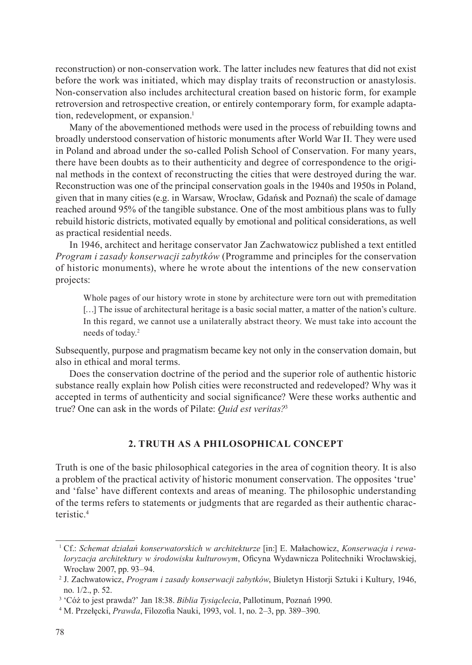reconstruction) or non-conservation work. The latter includes new features that did not exist before the work was initiated, which may display traits of reconstruction or anastylosis. Non-conservation also includes architectural creation based on historic form, for example retroversion and retrospective creation, or entirely contemporary form, for example adaptation, redevelopment, or expansion.<sup>1</sup>

Many of the abovementioned methods were used in the process of rebuilding towns and broadly understood conservation of historic monuments after World War II. They were used in Poland and abroad under the so-called Polish School of Conservation. For many years, there have been doubts as to their authenticity and degree of correspondence to the original methods in the context of reconstructing the cities that were destroyed during the war. Reconstruction was one of the principal conservation goals in the 1940s and 1950s in Poland, given that in many cities (e.g. in Warsaw, Wrocław, Gdańsk and Poznań) the scale of damage reached around 95% of the tangible substance. One of the most ambitious plans was to fully rebuild historic districts, motivated equally by emotional and political considerations, as well as practical residential needs.

In 1946, architect and heritage conservator Jan Zachwatowicz published a text entitled *Program i zasady konserwacji zabytków* (Programme and principles for the conservation of historic monuments), where he wrote about the intentions of the new conservation projects:

Whole pages of our history wrote in stone by architecture were torn out with premeditation [...] The issue of architectural heritage is a basic social matter, a matter of the nation's culture. In this regard, we cannot use a unilaterally abstract theory. We must take into account the needs of today.<sup>2</sup>

Subsequently, purpose and pragmatism became key not only in the conservation domain, but also in ethical and moral terms.

Does the conservation doctrine of the period and the superior role of authentic historic substance really explain how Polish cities were reconstructed and redeveloped? Why was it accepted in terms of authenticity and social significance? Were these works authentic and true? One can ask in the words of Pilate: *Quid est veritas?*<sup>3</sup>

# **2. TRUTH AS A PHILOSOPHICAL CONCEPT**

Truth is one of the basic philosophical categories in the area of cognition theory. It is also a problem of the practical activity of historic monument conservation. The opposites 'true' and 'false' have different contexts and areas of meaning. The philosophic understanding of the terms refers to statements or judgments that are regarded as their authentic characteristic.<sup>4</sup>

<sup>1</sup> Cf.: *Schemat działań konserwatorskich w architekturze* [in:] E. Małachowicz, *Konserwacja i rewaloryzacja architektury w środowisku kulturowym*, Oficyna Wydawnicza Politechniki Wrocławskiej, Wrocław 2007, pp. 93–94.

<sup>2</sup> J. Zachwatowicz, *Program i zasady konserwacji zabytków*, Biuletyn Historji Sztuki i Kultury, 1946, no. 1/2., p. 52.

<sup>3</sup> 'Cóż to jest prawda?' Jan 18:38. *Biblia Tysiąclecia*, Pallotinum, Poznań 1990.

<sup>4</sup> M. Przełęcki, *Prawda*, Filozofia Nauki, 1993, vol. 1, no. 2–3, pp. 389–390.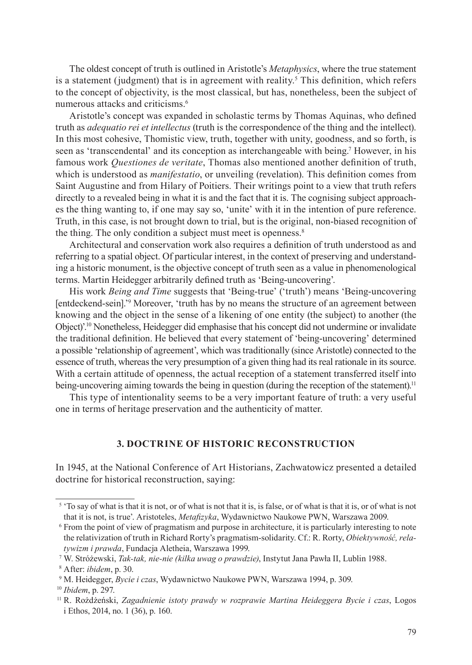The oldest concept of truth is outlined in Aristotle's *Metaphysics*, where the true statement is a statement (judgment) that is in agreement with reality.<sup>5</sup> This definition, which refers to the concept of objectivity, is the most classical, but has, nonetheless, been the subject of numerous attacks and criticisms.<sup>6</sup>

Aristotle's concept was expanded in scholastic terms by Thomas Aquinas, who defined truth as *adequatio rei et intellectus* (truth is the correspondence of the thing and the intellect). In this most cohesive, Thomistic view, truth, together with unity, goodness, and so forth, is seen as 'transcendental' and its conception as interchangeable with being.<sup>7</sup> However, in his famous work *Questiones de veritate*, Thomas also mentioned another definition of truth, which is understood as *manifestatio*, or unveiling (revelation). This definition comes from Saint Augustine and from Hilary of Poitiers. Their writings point to a view that truth refers directly to a revealed being in what it is and the fact that it is. The cognising subject approaches the thing wanting to, if one may say so, 'unite' with it in the intention of pure reference. Truth, in this case, is not brought down to trial, but is the original, non-biased recognition of the thing. The only condition a subject must meet is openness.<sup>8</sup>

Architectural and conservation work also requires a definition of truth understood as and referring to a spatial object. Of particular interest, in the context of preserving and understanding a historic monument, is the objective concept of truth seen as a value in phenomenological terms. Martin Heidegger arbitrarily defined truth as 'Being-uncovering'.

His work *Being and Time* suggests that 'Being-true' ('truth') means 'Being-uncovering [entdeckend-sein].'<sup>9</sup> Moreover, 'truth has by no means the structure of an agreement between knowing and the object in the sense of a likening of one entity (the subject) to another (the Object)'.<sup>10</sup> Nonetheless, Heidegger did emphasise that his concept did not undermine or invalidate the traditional definition. He believed that every statement of 'being-uncovering' determined a possible 'relationship of agreement', which was traditionally (since Aristotle) connected to the essence of truth, whereas the very presumption of a given thing had its real rationale in its source. With a certain attitude of openness, the actual reception of a statement transferred itself into being-uncovering aiming towards the being in question (during the reception of the statement).<sup>11</sup>

This type of intentionality seems to be a very important feature of truth: a very useful one in terms of heritage preservation and the authenticity of matter.

## **3. DOCTRINE OF HISTORIC RECONSTRUCTION**

In 1945, at the National Conference of Art Historians, Zachwatowicz presented a detailed doctrine for historical reconstruction, saying:

<sup>&</sup>lt;sup>5</sup> 'To say of what is that it is not, or of what is not that it is, is false, or of what is that it is, or of what is not that it is not, is true'. Aristoteles, *Metafizyka*, Wydawnictwo Naukowe PWN, Warszawa 2009.

<sup>6</sup> From the point of view of pragmatism and purpose in architecture, it is particularly interesting to note the relativization of truth in Richard Rorty's pragmatism-solidarity. Cf.: R. Rorty, *Obiektywność, relatywizm i prawda*, Fundacja Aletheia, Warszawa 1999.

<sup>7</sup> W. Stróżewski, *Tak-tak, nie-nie (kilka uwag o prawdzie)*, Instytut Jana Pawła II, Lublin 1988.

<sup>8</sup> After: *ibidem*, p. 30.

<sup>9</sup> M. Heidegger, *Bycie i czas*, Wydawnictwo Naukowe PWN, Warszawa 1994, p. 309.

<sup>10</sup> *Ibidem*, p. 297.

<sup>11</sup> R. Rożdżeński, *Zagadnienie istoty prawdy w rozprawie Martina Heideggera Bycie i czas*, Logos i Ethos, 2014, no. 1 (36), p. 160.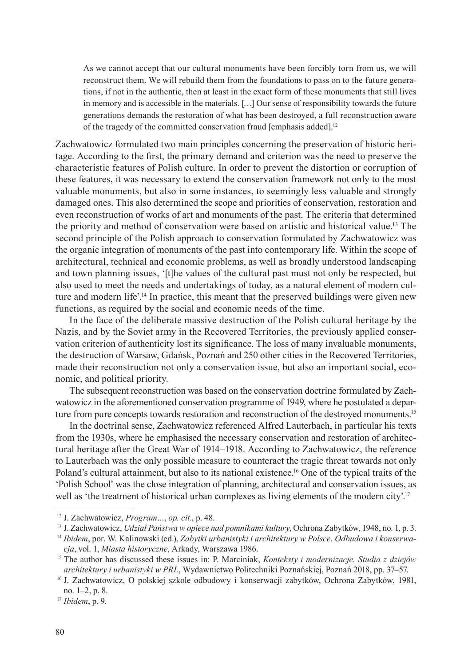As we cannot accept that our cultural monuments have been forcibly torn from us, we will reconstruct them. We will rebuild them from the foundations to pass on to the future generations, if not in the authentic, then at least in the exact form of these monuments that still lives in memory and is accessible in the materials. […] Our sense of responsibility towards the future generations demands the restoration of what has been destroyed, a full reconstruction aware of the tragedy of the committed conservation fraud [emphasis added].<sup>12</sup>

Zachwatowicz formulated two main principles concerning the preservation of historic heritage. According to the first, the primary demand and criterion was the need to preserve the characteristic features of Polish culture. In order to prevent the distortion or corruption of these features, it was necessary to extend the conservation framework not only to the most valuable monuments, but also in some instances, to seemingly less valuable and strongly damaged ones. This also determined the scope and priorities of conservation, restoration and even reconstruction of works of art and monuments of the past. The criteria that determined the priority and method of conservation were based on artistic and historical value.<sup>13</sup> The second principle of the Polish approach to conservation formulated by Zachwatowicz was the organic integration of monuments of the past into contemporary life. Within the scope of architectural, technical and economic problems, as well as broadly understood landscaping and town planning issues, '[t]he values of the cultural past must not only be respected, but also used to meet the needs and undertakings of today, as a natural element of modern culture and modern life'.<sup>14</sup> In practice, this meant that the preserved buildings were given new functions, as required by the social and economic needs of the time.

In the face of the deliberate massive destruction of the Polish cultural heritage by the Nazis, and by the Soviet army in the Recovered Territories, the previously applied conservation criterion of authenticity lost its significance. The loss of many invaluable monuments, the destruction of Warsaw, Gdańsk, Poznań and 250 other cities in the Recovered Territories, made their reconstruction not only a conservation issue, but also an important social, economic, and political priority.

The subsequent reconstruction was based on the conservation doctrine formulated by Zachwatowicz in the aforementioned conservation programme of 1949, where he postulated a departure from pure concepts towards restoration and reconstruction of the destroyed monuments.<sup>15</sup>

In the doctrinal sense, Zachwatowicz referenced Alfred Lauterbach, in particular his texts from the 1930s, where he emphasised the necessary conservation and restoration of architectural heritage after the Great War of 1914–1918. According to Zachwatowicz, the reference to Lauterbach was the only possible measure to counteract the tragic threat towards not only Poland's cultural attainment, but also to its national existence.<sup>16</sup> One of the typical traits of the 'Polish School' was the close integration of planning, architectural and conservation issues, as well as 'the treatment of historical urban complexes as living elements of the modern city'.<sup>17</sup>

<sup>12</sup> J. Zachwatowicz, *Program…*, *op. cit*., p. 48.

<sup>13</sup> J. Zachwatowicz, *Udział Państwa w opiece nad pomnikami kultury*, Ochrona Zabytków, 1948, no. 1, p. 3.

<sup>14</sup> *Ibidem*, por. W. Kalinowski (ed.), *Zabytki urbanistyki i architektury w Polsce. Odbudowa i konserwacja*, vol. 1, *Miasta historyczne*, Arkady, Warszawa 1986.

<sup>15</sup> The author has discussed these issues in: P. Marciniak, *Konteksty i modernizacje. Studia z dziejów architektury i urbanistyki w PRL*, Wydawnictwo Politechniki Poznańskiej, Poznań 2018, pp. 37–57.

<sup>16</sup> J. Zachwatowicz, O polskiej szkole odbudowy i konserwacji zabytków, Ochrona Zabytków, 1981, no. 1–2, p. 8.

<sup>17</sup> *Ibidem*, p. 9.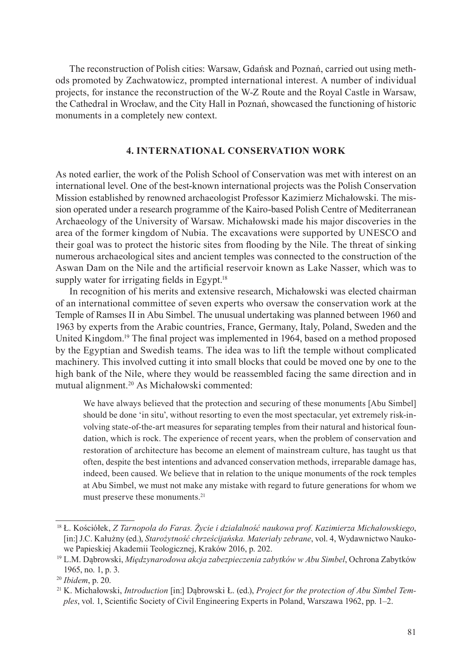The reconstruction of Polish cities: Warsaw, Gdańsk and Poznań, carried out using methods promoted by Zachwatowicz, prompted international interest. A number of individual projects, for instance the reconstruction of the W-Z Route and the Royal Castle in Warsaw, the Cathedral in Wrocław, and the City Hall in Poznań, showcased the functioning of historic monuments in a completely new context.

### **4. INTERNATIONAL CONSERVATION WORK**

As noted earlier, the work of the Polish School of Conservation was met with interest on an international level. One of the best-known international projects was the Polish Conservation Mission established by renowned archaeologist Professor Kazimierz Michałowski. The mission operated under a research programme of the Kairo-based Polish Centre of Mediterranean Archaeology of the University of Warsaw. Michałowski made his major discoveries in the area of the former kingdom of Nubia. The excavations were supported by UNESCO and their goal was to protect the historic sites from flooding by the Nile. The threat of sinking numerous archaeological sites and ancient temples was connected to the construction of the Aswan Dam on the Nile and the artificial reservoir known as Lake Nasser, which was to supply water for irrigating fields in Egypt.<sup>18</sup>

In recognition of his merits and extensive research, Michałowski was elected chairman of an international committee of seven experts who oversaw the conservation work at the Temple of Ramses II in Abu Simbel. The unusual undertaking was planned between 1960 and 1963 by experts from the Arabic countries, France, Germany, Italy, Poland, Sweden and the United Kingdom.<sup>19</sup> The final project was implemented in 1964, based on a method proposed by the Egyptian and Swedish teams. The idea was to lift the temple without complicated machinery. This involved cutting it into small blocks that could be moved one by one to the high bank of the Nile, where they would be reassembled facing the same direction and in mutual alignment.<sup>20</sup> As Michałowski commented:

We have always believed that the protection and securing of these monuments [Abu Simbel] should be done 'in situ', without resorting to even the most spectacular, yet extremely risk-involving state-of-the-art measures for separating temples from their natural and historical foundation, which is rock. The experience of recent years, when the problem of conservation and restoration of architecture has become an element of mainstream culture, has taught us that often, despite the best intentions and advanced conservation methods, irreparable damage has, indeed, been caused. We believe that in relation to the unique monuments of the rock temples at Abu Simbel, we must not make any mistake with regard to future generations for whom we must preserve these monuments.<sup>21</sup>

<sup>18</sup> Ł. Kościółek, *Z Tarnopola do Faras. Życie i działalność naukowa prof. Kazimierza Michałowskiego*, [in:] J.C. Kałużny (ed.), *Starożytność chrześcijańska. Materiały zebrane*, vol. 4, Wydawnictwo Naukowe Papieskiej Akademii Teologicznej, Kraków 2016, p. 202.

<sup>19</sup> L.M. Dąbrowski, *Międzynarodowa akcja zabezpieczenia zabytków w Abu Simbel*, Ochrona Zabytków 1965, no. 1, p. 3.

<sup>20</sup> *Ibidem*, p. 20.

<sup>21</sup> K. Michałowski, *Introduction* [in:] Dąbrowski Ł. (ed.), *Project for the protection of Abu Simbel Temples*, vol. 1, Scientific Society of Civil Engineering Experts in Poland, Warszawa 1962, pp. 1–2.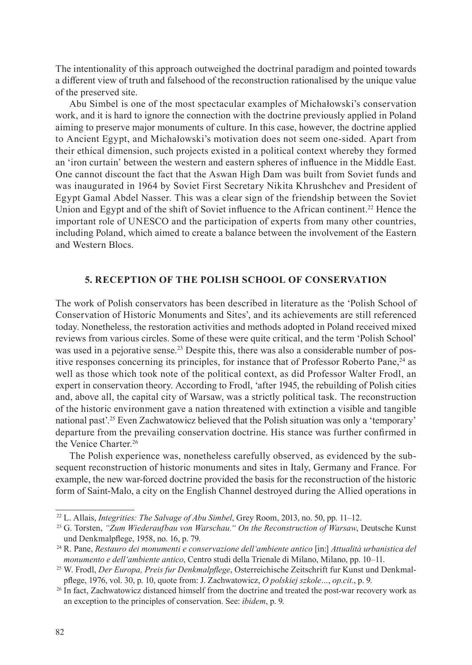The intentionality of this approach outweighed the doctrinal paradigm and pointed towards a different view of truth and falsehood of the reconstruction rationalised by the unique value of the preserved site.

Abu Simbel is one of the most spectacular examples of Michałowski's conservation work, and it is hard to ignore the connection with the doctrine previously applied in Poland aiming to preserve major monuments of culture. In this case, however, the doctrine applied to Ancient Egypt, and Michałowski's motivation does not seem one-sided. Apart from their ethical dimension, such projects existed in a political context whereby they formed an 'iron curtain' between the western and eastern spheres of influence in the Middle East. One cannot discount the fact that the Aswan High Dam was built from Soviet funds and was inaugurated in 1964 by Soviet First Secretary Nikita Khrushchev and President of Egypt Gamal Abdel Nasser. This was a clear sign of the friendship between the Soviet Union and Egypt and of the shift of Soviet influence to the African continent.<sup>22</sup> Hence the important role of UNESCO and the participation of experts from many other countries, including Poland, which aimed to create a balance between the involvement of the Eastern and Western Blocs.

### **5. RECEPTION OF THE POLISH SCHOOL OF CONSERVATION**

The work of Polish conservators has been described in literature as the 'Polish School of Conservation of Historic Monuments and Sites', and its achievements are still referenced today. Nonetheless, the restoration activities and methods adopted in Poland received mixed reviews from various circles. Some of these were quite critical, and the term 'Polish School' was used in a pejorative sense.<sup>23</sup> Despite this, there was also a considerable number of positive responses concerning its principles, for instance that of Professor Roberto Pane, $24$  as well as those which took note of the political context, as did Professor Walter Frodl, an expert in conservation theory. According to Frodl, 'after 1945, the rebuilding of Polish cities and, above all, the capital city of Warsaw, was a strictly political task. The reconstruction of the historic environment gave a nation threatened with extinction a visible and tangible national past'.<sup>25</sup> Even Zachwatowicz believed that the Polish situation was only a 'temporary' departure from the prevailing conservation doctrine. His stance was further confirmed in the Venice Charter.<sup>26</sup>

The Polish experience was, nonetheless carefully observed, as evidenced by the subsequent reconstruction of historic monuments and sites in Italy, Germany and France. For example, the new war-forced doctrine provided the basis for the reconstruction of the historic form of Saint-Malo, a city on the English Channel destroyed during the Allied operations in

<sup>22</sup> L. Allais, *Integrities: The Salvage of Abu Simbel*, Grey Room, 2013, no. 50, pp. 11–12.

<sup>23</sup> G. Torsten, *"Zum Wiederaufbau von Warschau." On the Reconstruction of Warsaw*, Deutsche Kunst und Denkmalpflege, 1958, no. 16, p. 79.

<sup>24</sup> R. Pane, *Restauro dei monumenti e conservazione dell'ambiente antico* [in:] *Attualità urbanistica del monumento e dell'ambiente antico*, Centro studi della Trienale di Milano, Milano, pp. 10–11.

<sup>25</sup> W. Frodl, *Der Europa, Preis fur Denkmalpflege*, Osterreichische Zeitschrift fur Kunst und Denkmalpflege, 1976, vol. 30, p. 10, quote from: J. Zachwatowicz, *O polskiej szkole…*, *op.cit.*, p. 9.

<sup>&</sup>lt;sup>26</sup> In fact, Zachwatowicz distanced himself from the doctrine and treated the post-war recovery work as an exception to the principles of conservation. See: *ibidem*, p. 9.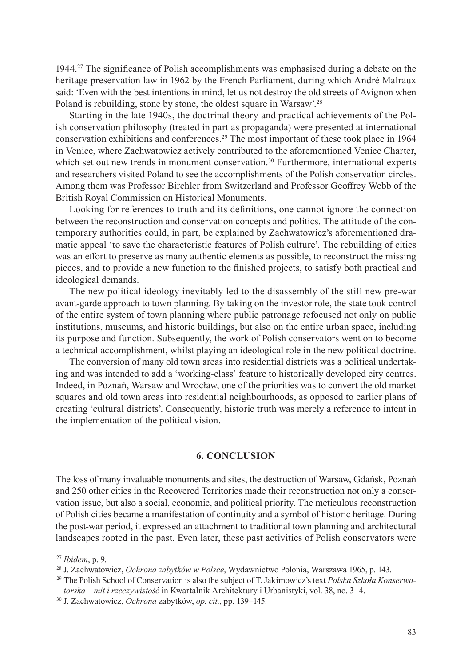1944. <sup>27</sup> The significance of Polish accomplishments was emphasised during a debate on the heritage preservation law in 1962 by the French Parliament, during which André Malraux said: 'Even with the best intentions in mind, let us not destroy the old streets of Avignon when Poland is rebuilding, stone by stone, the oldest square in Warsaw'.<sup>28</sup>

Starting in the late 1940s, the doctrinal theory and practical achievements of the Polish conservation philosophy (treated in part as propaganda) were presented at international conservation exhibitions and conferences.<sup>29</sup> The most important of these took place in 1964 in Venice, where Zachwatowicz actively contributed to the aforementioned Venice Charter, which set out new trends in monument conservation.<sup>30</sup> Furthermore, international experts and researchers visited Poland to see the accomplishments of the Polish conservation circles. Among them was Professor Birchler from Switzerland and Professor Geoffrey Webb of the British Royal Commission on Historical Monuments.

Looking for references to truth and its definitions, one cannot ignore the connection between the reconstruction and conservation concepts and politics. The attitude of the contemporary authorities could, in part, be explained by Zachwatowicz's aforementioned dramatic appeal 'to save the characteristic features of Polish culture'. The rebuilding of cities was an effort to preserve as many authentic elements as possible, to reconstruct the missing pieces, and to provide a new function to the finished projects, to satisfy both practical and ideological demands.

The new political ideology inevitably led to the disassembly of the still new pre-war avant-garde approach to town planning. By taking on the investor role, the state took control of the entire system of town planning where public patronage refocused not only on public institutions, museums, and historic buildings, but also on the entire urban space, including its purpose and function. Subsequently, the work of Polish conservators went on to become a technical accomplishment, whilst playing an ideological role in the new political doctrine.

The conversion of many old town areas into residential districts was a political undertaking and was intended to add a 'working-class' feature to historically developed city centres. Indeed, in Poznań, Warsaw and Wrocław, one of the priorities was to convert the old market squares and old town areas into residential neighbourhoods, as opposed to earlier plans of creating 'cultural districts'. Consequently, historic truth was merely a reference to intent in the implementation of the political vision.

#### **6. CONCLUSION**

The loss of many invaluable monuments and sites, the destruction of Warsaw, Gdańsk, Poznań and 250 other cities in the Recovered Territories made their reconstruction not only a conservation issue, but also a social, economic, and political priority. The meticulous reconstruction of Polish cities became a manifestation of continuity and a symbol of historic heritage. During the post-war period, it expressed an attachment to traditional town planning and architectural landscapes rooted in the past. Even later, these past activities of Polish conservators were

<sup>27</sup> *Ibidem*, p. 9.

<sup>28</sup> J. Zachwatowicz, *Ochrona zabytków w Polsce*, Wydawnictwo Polonia, Warszawa 1965, p. 143.

<sup>29</sup> The Polish School of Conservation is also the subject of T. Jakimowicz's text *Polska Szkoła Konserwatorska – mit i rzeczywistość* in Kwartalnik Architektury i Urbanistyki, vol. 38, no. 3–4.

<sup>30</sup> J. Zachwatowicz, *Ochrona* zabytków, *op. cit.*, pp. 139–145.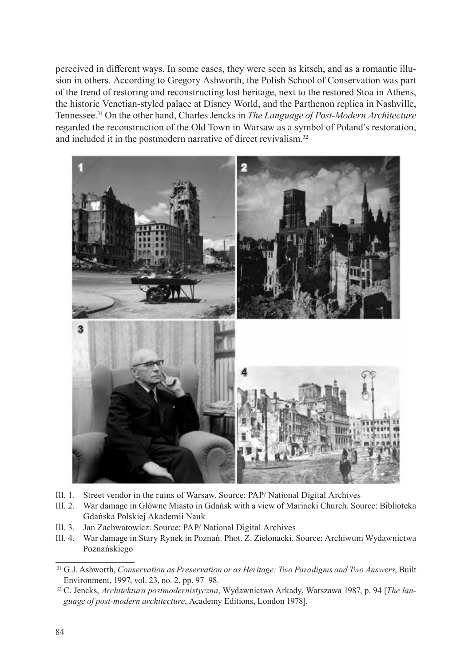perceived in different ways. In some cases, they were seen as kitsch, and as a romantic illusion in others. According to Gregory Ashworth, the Polish School of Conservation was part of the trend of restoring and reconstructing lost heritage, next to the restored Stoa in Athens, the historic Venetian-styled palace at Disney World, and the Parthenon replica in Nashville, Tennessee.<sup>31</sup> On the other hand, Charles Jencks in *The Language of Post-Modern Architecture* regarded the reconstruction of the Old Town in Warsaw as a symbol of Poland's restoration, and included it in the postmodern narrative of direct revivalism.<sup>32</sup>



- Ill. 1. Street vendor in the ruins of Warsaw. Source: PAP/ National Digital Archives
- Ill. 2. War damage in Główne Miasto in Gdańsk with a view of Mariacki Church. Source: Biblioteka Gdańska Polskiej Akademii Nauk
- Ill. 3. Jan Zachwatowicz. Source: PAP/ National Digital Archives
- Ill. 4. War damage in Stary Rynek in Poznań. Phot. Z. Zielonacki. Source: Archiwum Wydawnictwa Poznańskiego

<sup>31</sup> G.J. Ashworth, *Conservation as Preservation or as Heritage: Two Paradigms and Two Answers*, Built Environment, 1997, vol. 23, no. 2, pp. 97–98.

<sup>32</sup> C. Jencks, *Architektura postmodernistyczna*, Wydawnictwo Arkady, Warszawa 1987, p. 94 [*The language of post-modern architecture*, Academy Editions, London 1978].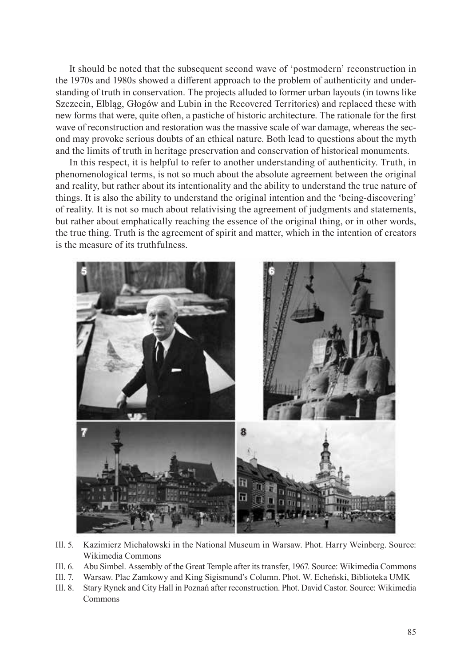It should be noted that the subsequent second wave of 'postmodern' reconstruction in the 1970s and 1980s showed a different approach to the problem of authenticity and understanding of truth in conservation. The projects alluded to former urban layouts (in towns like Szczecin, Elbląg, Głogów and Lubin in the Recovered Territories) and replaced these with new forms that were, quite often, a pastiche of historic architecture. The rationale for the first wave of reconstruction and restoration was the massive scale of war damage, whereas the second may provoke serious doubts of an ethical nature. Both lead to questions about the myth and the limits of truth in heritage preservation and conservation of historical monuments.

In this respect, it is helpful to refer to another understanding of authenticity. Truth, in phenomenological terms, is not so much about the absolute agreement between the original and reality, but rather about its intentionality and the ability to understand the true nature of things. It is also the ability to understand the original intention and the 'being-discovering' of reality. It is not so much about relativising the agreement of judgments and statements, but rather about emphatically reaching the essence of the original thing, or in other words, the true thing. Truth is the agreement of spirit and matter, which in the intention of creators is the measure of its truthfulness.



- Ill. 5. Kazimierz Michałowski in the National Museum in Warsaw. Phot. Harry Weinberg. Source: Wikimedia Commons
- Ill. 6. Abu Simbel. Assembly of the Great Temple after its transfer, 1967. Source: Wikimedia Commons
- Ill. 7. Warsaw. Plac Zamkowy and King Sigismund's Column. Phot. W. Echeński, Biblioteka UMK
- Ill. 8. Stary Rynek and City Hall in Poznań after reconstruction. Phot. David Castor. Source: Wikimedia Commons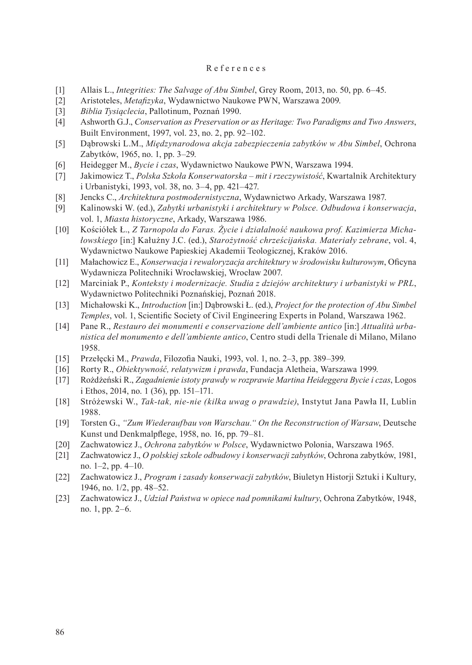### References

- [1] Allais L., *Integrities: The Salvage of Abu Simbel*, Grey Room, 2013, no. 50, pp. 6–45.
- [2] Aristoteles, *Metafizyka*, Wydawnictwo Naukowe PWN, Warszawa 2009.
- [3] *Biblia Tysiąclecia*, Pallotinum, Poznań 1990.
- [4] Ashworth G.J., *Conservation as Preservation or as Heritage: Two Paradigms and Two Answers*, Built Environment, 1997, vol. 23, no. 2, pp. 92–102.
- [5] Dąbrowski L.M., *Międzynarodowa akcja zabezpieczenia zabytków w Abu Simbel*, Ochrona Zabytków, 1965, no. 1, pp. 3–29.
- [6] Heidegger M., *Bycie i czas*, Wydawnictwo Naukowe PWN, Warszawa 1994.
- [7] Jakimowicz T., *Polska Szkoła Konserwatorska mit i rzeczywistość*, Kwartalnik Architektury i Urbanistyki, 1993, vol. 38, no. 3–4, pp. 421–427.
- [8] Jencks C., *Architektura postmodernistyczna*, Wydawnictwo Arkady, Warszawa 1987.
- [9] Kalinowski W. (ed.), *Zabytki urbanistyki i architektury w Polsce. Odbudowa i konserwacja*, vol. 1, *Miasta historyczne*, Arkady, Warszawa 1986.
- [10] Kościółek Ł., *Z Tarnopola do Faras. Życie i działalność naukowa prof. Kazimierza Michałowskiego* [in:] Kałużny J.C. (ed.), *Starożytność chrześcijańska. Materiały zebrane*, vol. 4, Wydawnictwo Naukowe Papieskiej Akademii Teologicznej, Kraków 2016.
- [11] Małachowicz E., *Konserwacja i rewaloryzacja architektury w środowisku kulturowym*, Oficyna Wydawnicza Politechniki Wrocławskiej, Wrocław 2007.
- [12] Marciniak P., *Konteksty i modernizacje. Studia z dziejów architektury i urbanistyki w PRL*, Wydawnictwo Politechniki Poznańskiej, Poznań 2018.
- [13] Michałowski K., *Introduction* [in:] Dąbrowski Ł. (ed.), *Project for the protection of Abu Simbel Temples*, vol. 1, Scientific Society of Civil Engineering Experts in Poland, Warszawa 1962.
- [14] Pane R., *Restauro dei monumenti e conservazione dell'ambiente antico* [in:] *Attualità urbanistica del monumento e dell'ambiente antico*, Centro studi della Trienale di Milano, Milano 1958.
- [15] Przełęcki M., *Prawda*, Filozofia Nauki, 1993, vol. 1, no. 2–3, pp. 389–399.
- [16] Rorty R., *Obiektywność, relatywizm i prawda*, Fundacja Aletheia, Warszawa 1999.
- [17] Rożdżeński R., *Zagadnienie istoty prawdy w rozprawie Martina Heideggera Bycie i czas*, Logos i Ethos, 2014, no. 1 (36), pp. 151–171.
- [18] Stróżewski W., *Tak-tak, nie-nie (kilka uwag o prawdzie)*, Instytut Jana Pawła II, Lublin 1988.
- [19] Torsten G., *"Zum Wiederaufbau von Warschau." On the Reconstruction of Warsaw*, Deutsche Kunst und Denkmalpflege, 1958, no. 16, pp. 79–81.
- [20] Zachwatowicz J., *Ochrona zabytków w Polsce*, Wydawnictwo Polonia, Warszawa 1965.
- [21] Zachwatowicz J., *O polskiej szkole odbudowy i konserwacji zabytków*, Ochrona zabytków, 1981, no. 1–2, pp. 4–10.
- [22] Zachwatowicz J., *Program i zasady konserwacji zabytków*, Biuletyn Historji Sztuki i Kultury, 1946, no. 1/2, pp. 48–52.
- [23] Zachwatowicz J., *Udział Państwa w opiece nad pomnikami kultury*, Ochrona Zabytków, 1948, no. 1, pp. 2–6.